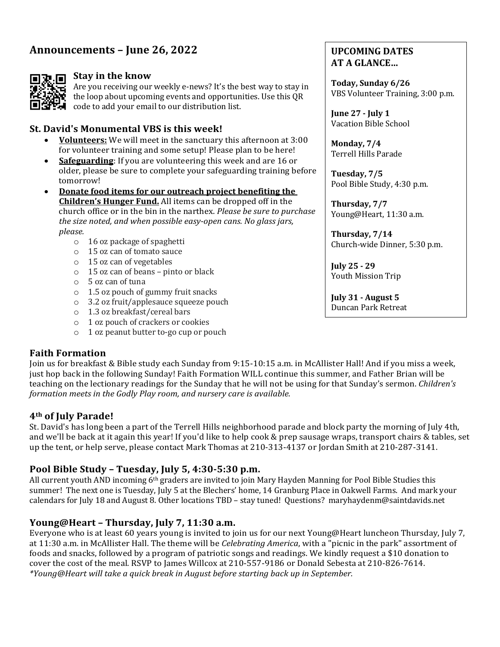# Announcements – June 26, 2022



#### **Stay in the know**

Are you receiving our weekly e-news? It's the best way to stay in the loop about upcoming events and opportunities. Use this QR code to add your email to our distribution list.

#### **St. David's Monumental VBS is this week!**

- **Volunteers:** We will meet in the sanctuary this afternoon at 3:00 for volunteer training and some setup! Please plan to be here!
- **Safeguarding**: If you are volunteering this week and are 16 or older, please be sure to complete your safeguarding training before tomorrow!
- **Donate food items for our outreach project benefiting the Children's Hunger Fund.** All items can be dropped off in the church office or in the bin in the narthex. *Please be sure to purchase the size noted, and when possible easy-open cans. No glass jars, please.*
	- $\circ$  16 oz package of spaghetti
	- o 15 oz can of tomato sauce
	- $\circ$  15 oz can of vegetables
	- $\circ$  15 oz can of beans pinto or black
	- o 5 oz can of tuna
	- $\circ$  1.5 oz pouch of gummy fruit snacks
	- o 3.2 oz fruit/applesauce squeeze pouch
	- o 1.3 oz breakfast/cereal bars
	- o 1 oz pouch of crackers or cookies
	- $\circ$  1 oz peanut butter to-go cup or pouch

### **Faith Formation**

Join us for breakfast & Bible study each Sunday from 9:15-10:15 a.m. in McAllister Hall! And if you miss a week, just hop back in the following Sunday! Faith Formation WILL continue this summer, and Father Brian will be teaching on the lectionary readings for the Sunday that he will not be using for that Sunday's sermon. *Children's formation meets in the Godly Play room, and nursery care is available.* 

#### **4th of July Parade!**

St. David's has long been a part of the Terrell Hills neighborhood parade and block party the morning of July 4th, and we'll be back at it again this year! If you'd like to help cook & prep sausage wraps, transport chairs & tables, set up the tent, or help serve, please contact Mark Thomas at 210-313-4137 or Jordan Smith at 210-287-3141.

### **Pool Bible Study – Tuesday, July 5, 4:30-5:30 p.m.**

All current youth AND incoming 6<sup>th</sup> graders are invited to join Mary Hayden Manning for Pool Bible Studies this summer! The next one is Tuesday, July 5 at the Blechers' home, 14 Granburg Place in Oakwell Farms. And mark your calendars for July 18 and August 8. Other locations TBD – stay tuned! Questions? maryhaydenm@saintdavids.net

# Young@Heart - Thursday, July 7, 11:30 a.m.

Everyone who is at least 60 years young is invited to join us for our next Young@Heart luncheon Thursday, July 7, at 11:30 a.m. in McAllister Hall. The theme will be *Celebrating America*, with a "picnic in the park" assortment of foods and snacks, followed by a program of patriotic songs and readings. We kindly request a \$10 donation to cover the cost of the meal. RSVP to James Willcox at 210-557-9186 or Donald Sebesta at 210-826-7614. *\*Young@Heart will take a quick break in August before starting back up in September.*

# **UPCOMING DATES AT A GLANCE…**

**Today, Sunday 6/26** VBS Volunteer Training, 3:00 p.m.

**June 27 - July 1** Vacation Bible School

**Monday, 7/4** Terrell Hills Parade

**Tuesday, 7/5** Pool Bible Study, 4:30 p.m.

**Thursday, 7/7** Young@Heart, 11:30 a.m.

**Thursday, 7/14** Church-wide Dinner, 5:30 p.m.

**July 25 - 29** Youth Mission Trip

**July 31 - August 5** Duncan Park Retreat